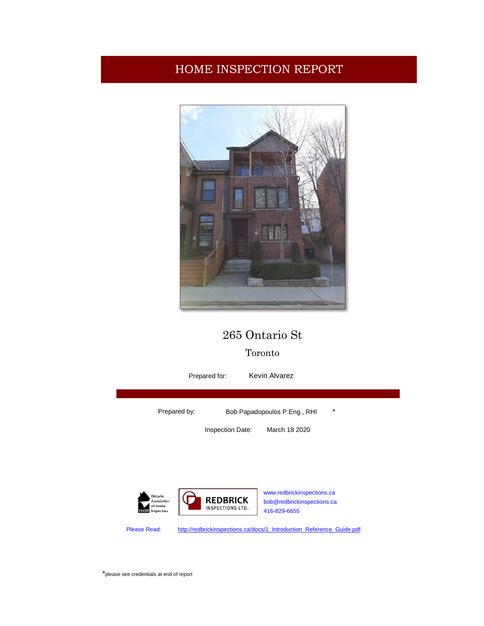## HOME INSPECTION REPORT



## 265 Ontario St

## Toronto

Kevin Alvarez Prepared for:Prepared by: Bob Papadopoulos P.Eng., RHI \* Inspection Date: March 18 2020 [www.redbrickinspections.ca](http://www.redbrickinspections.ca/) **REDBRICK** Association<br>of Home [bob@redbrickinspections.ca](mailto:bob@redbrickinspections.ca) INSPECTIONS LTD. 416-829-6655 Please Read: [http://redbrickinspections.ca/docs/1\\_Introduction\\_Reference\\_Guide.pdf](http://redbrickinspections.ca/docs/1_Introduction_Reference_Guide.pdf)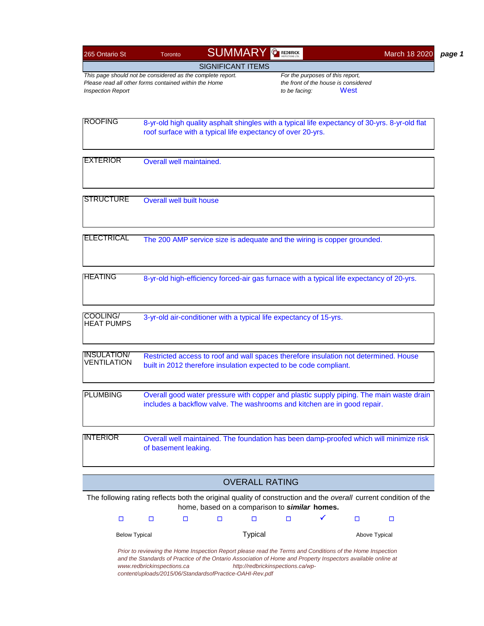| 265 Ontario St                                                                                                                                  | Toronto                         | <b>SUMMARY &amp; REDERICK</b>                                                                                                                                                                                                                                                         |                       |                                                   |                                              | March 18 2020 |
|-------------------------------------------------------------------------------------------------------------------------------------------------|---------------------------------|---------------------------------------------------------------------------------------------------------------------------------------------------------------------------------------------------------------------------------------------------------------------------------------|-----------------------|---------------------------------------------------|----------------------------------------------|---------------|
|                                                                                                                                                 |                                 | <b>SIGNIFICANT ITEMS</b>                                                                                                                                                                                                                                                              |                       |                                                   |                                              |               |
| This page should not be considered as the complete report.<br>Please read all other forms contained within the Home<br><b>Inspection Report</b> |                                 |                                                                                                                                                                                                                                                                                       |                       | For the purposes of this report,<br>to be facing: | the front of the house is considered<br>West |               |
| <b>ROOFING</b>                                                                                                                                  |                                 | 8-yr-old high quality asphalt shingles with a typical life expectancy of 30-yrs. 8-yr-old flat<br>roof surface with a typical life expectancy of over 20-yrs.                                                                                                                         |                       |                                                   |                                              |               |
| <b>IEXTERIOR</b>                                                                                                                                | Overall well maintained.        |                                                                                                                                                                                                                                                                                       |                       |                                                   |                                              |               |
| <b>STRUCTURE</b>                                                                                                                                | <b>Overall well built house</b> |                                                                                                                                                                                                                                                                                       |                       |                                                   |                                              |               |
| <b>ELECTRICAL</b>                                                                                                                               |                                 | The 200 AMP service size is adequate and the wiring is copper grounded.                                                                                                                                                                                                               |                       |                                                   |                                              |               |
| <b>HEATING</b>                                                                                                                                  |                                 | 8-yr-old high-efficiency forced-air gas furnace with a typical life expectancy of 20-yrs.                                                                                                                                                                                             |                       |                                                   |                                              |               |
| COOLING/<br><b>HEAT PUMPS</b>                                                                                                                   |                                 | 3-yr-old air-conditioner with a typical life expectancy of 15-yrs.                                                                                                                                                                                                                    |                       |                                                   |                                              |               |
| <b>INSULATION/</b><br><b>VENTILATION</b>                                                                                                        |                                 | Restricted access to roof and wall spaces therefore insulation not determined. House<br>built in 2012 therefore insulation expected to be code compliant.                                                                                                                             |                       |                                                   |                                              |               |
| <b>PI UMBING</b>                                                                                                                                |                                 | Overall good water pressure with copper and plastic supply piping. The main waste drain<br>includes a backflow valve. The washrooms and kitchen are in good repair.                                                                                                                   |                       |                                                   |                                              |               |
| <b>INTERIOR</b>                                                                                                                                 | of basement leaking.            | Overall well maintained. The foundation has been damp-proofed which will minimize risk                                                                                                                                                                                                |                       |                                                   |                                              |               |
|                                                                                                                                                 |                                 |                                                                                                                                                                                                                                                                                       | <b>OVERALL RATING</b> |                                                   |                                              |               |
|                                                                                                                                                 |                                 | The following rating reflects both the original quality of construction and the overall current condition of the<br>home, based on a comparison to similar homes.                                                                                                                     |                       |                                                   |                                              |               |
| $\Box$                                                                                                                                          | $\Box$<br>□                     | $\Box$                                                                                                                                                                                                                                                                                | $\Box$                | $\Box$                                            | □                                            | □             |
| <b>Below Typical</b>                                                                                                                            |                                 |                                                                                                                                                                                                                                                                                       | <b>Typical</b>        |                                                   | Above Typical                                |               |
|                                                                                                                                                 | www.redbrickinspections.ca      | Prior to reviewing the Home Inspection Report please read the Terms and Conditions of the Home Inspection<br>and the Standards of Practice of the Ontario Association of Home and Property Inspectors available online at<br>content/uploads/2015/06/StandardsofPractice-OAHI-Rev.pdf |                       | http://redbrickinspections.ca/wp-                 |                                              |               |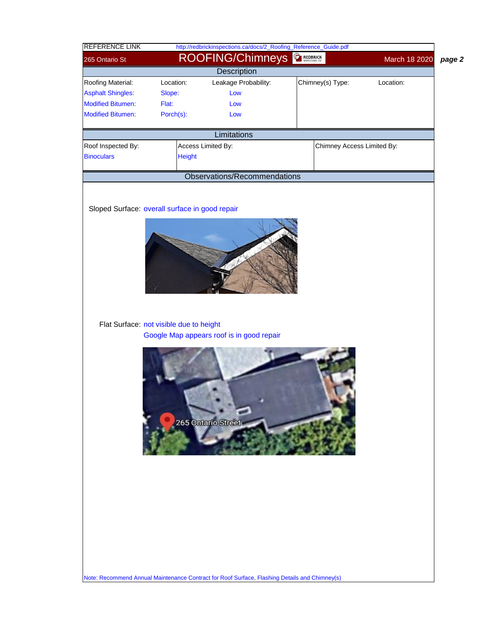| <b>REFERENCE LINK</b>                          |                                         | http://redbrickinspections.ca/docs/2_Roofing_Reference_Guide.pdf                              |          |                            |               |
|------------------------------------------------|-----------------------------------------|-----------------------------------------------------------------------------------------------|----------|----------------------------|---------------|
| 265 Ontario St                                 |                                         | <b>ROOFING/Chimneys</b>                                                                       | REDBRICK |                            | March 18 2020 |
|                                                |                                         | <b>Description</b>                                                                            |          |                            |               |
| Roofing Material:                              | Location:                               | Leakage Probability:                                                                          |          | Chimney(s) Type:           | Location:     |
| <b>Asphalt Shingles:</b>                       | Slope:                                  | Low                                                                                           |          |                            |               |
| <b>Modified Bitumen:</b>                       | Flat:                                   | Low                                                                                           |          |                            |               |
| <b>Modified Bitumen:</b>                       | Porch(s):                               | Low                                                                                           |          |                            |               |
|                                                |                                         | Limitations                                                                                   |          |                            |               |
| Roof Inspected By:                             |                                         | Access Limited By:                                                                            |          | Chimney Access Limited By: |               |
| <b>Binoculars</b>                              | <b>Height</b>                           |                                                                                               |          |                            |               |
|                                                |                                         | Observations/Recommendations                                                                  |          |                            |               |
|                                                |                                         |                                                                                               |          |                            |               |
| Sloped Surface: overall surface in good repair |                                         |                                                                                               |          |                            |               |
|                                                |                                         |                                                                                               |          |                            |               |
|                                                |                                         |                                                                                               |          |                            |               |
|                                                |                                         |                                                                                               |          |                            |               |
|                                                |                                         |                                                                                               |          |                            |               |
|                                                |                                         |                                                                                               |          |                            |               |
|                                                |                                         |                                                                                               |          |                            |               |
|                                                | Flat Surface: not visible due to height | Google Map appears roof is in good repair                                                     |          |                            |               |
|                                                |                                         |                                                                                               |          |                            |               |
|                                                |                                         |                                                                                               |          |                            |               |
|                                                |                                         |                                                                                               |          |                            |               |
|                                                |                                         |                                                                                               |          |                            |               |
|                                                |                                         |                                                                                               |          |                            |               |
|                                                |                                         |                                                                                               |          |                            |               |
|                                                |                                         | 265 Ontario Street                                                                            |          |                            |               |
|                                                |                                         |                                                                                               |          |                            |               |
|                                                |                                         |                                                                                               |          |                            |               |
|                                                |                                         |                                                                                               |          |                            |               |
|                                                |                                         |                                                                                               |          |                            |               |
|                                                |                                         |                                                                                               |          |                            |               |
|                                                |                                         |                                                                                               |          |                            |               |
|                                                |                                         |                                                                                               |          |                            |               |
|                                                |                                         |                                                                                               |          |                            |               |
|                                                |                                         |                                                                                               |          |                            |               |
|                                                |                                         |                                                                                               |          |                            |               |
|                                                |                                         |                                                                                               |          |                            |               |
|                                                |                                         |                                                                                               |          |                            |               |
|                                                |                                         |                                                                                               |          |                            |               |
|                                                |                                         | Note: Recommend Annual Maintenance Contract for Roof Surface, Flashing Details and Chimney(s) |          |                            |               |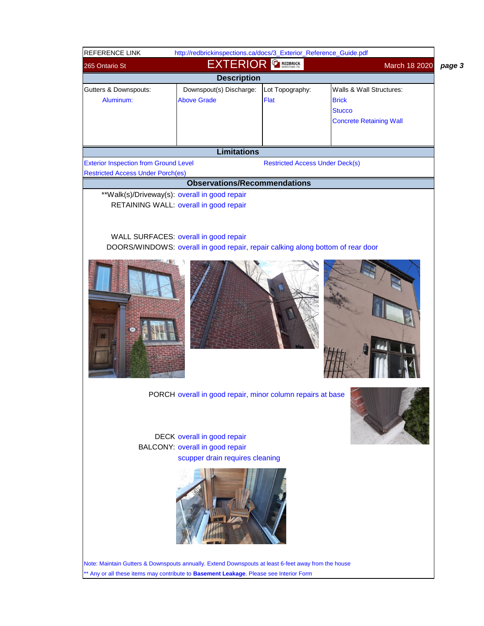| REFERENCE LINK                                                                                      | http://redbrickinspections.ca/docs/3_Exterior_Reference_Guide.pdf                                                        |                                        |                                                                                             |        |
|-----------------------------------------------------------------------------------------------------|--------------------------------------------------------------------------------------------------------------------------|----------------------------------------|---------------------------------------------------------------------------------------------|--------|
| 265 Ontario St                                                                                      | <b>EXTERIOR</b>                                                                                                          | <b>REDBRICK</b>                        | March 18 2020                                                                               | page 3 |
|                                                                                                     | <b>Description</b>                                                                                                       |                                        |                                                                                             |        |
| Gutters & Downspouts:<br>Aluminum:                                                                  | Downspout(s) Discharge:<br><b>Above Grade</b>                                                                            | Lot Topography:<br>Flat                | Walls & Wall Structures:<br><b>Brick</b><br><b>Stucco</b><br><b>Concrete Retaining Wall</b> |        |
|                                                                                                     | <b>Limitations</b>                                                                                                       |                                        |                                                                                             |        |
| <b>Exterior Inspection from Ground Level</b>                                                        |                                                                                                                          | <b>Restricted Access Under Deck(s)</b> |                                                                                             |        |
| <b>Restricted Access Under Porch(es)</b>                                                            |                                                                                                                          |                                        |                                                                                             |        |
|                                                                                                     | <b>Observations/Recommendations</b>                                                                                      |                                        |                                                                                             |        |
| **Walk(s)/Driveway(s): overall in good repair                                                       | RETAINING WALL: overall in good repair                                                                                   |                                        |                                                                                             |        |
|                                                                                                     | WALL SURFACES: overall in good repair<br>DOORS/WINDOWS: overall in good repair, repair calking along bottom of rear door |                                        |                                                                                             |        |
|                                                                                                     |                                                                                                                          |                                        |                                                                                             |        |
|                                                                                                     | PORCH overall in good repair, minor column repairs at base                                                               |                                        |                                                                                             |        |
|                                                                                                     | DECK overall in good repair<br><b>BALCONY: overall in good repair</b><br>scupper drain requires cleaning                 |                                        |                                                                                             |        |
| Note: Maintain Gutters & Downspouts annually. Extend Downspouts at least 6-feet away from the house |                                                                                                                          |                                        |                                                                                             |        |

\*\* Any or all these items may contribute to **Basement Leakage**. Please see Interior Form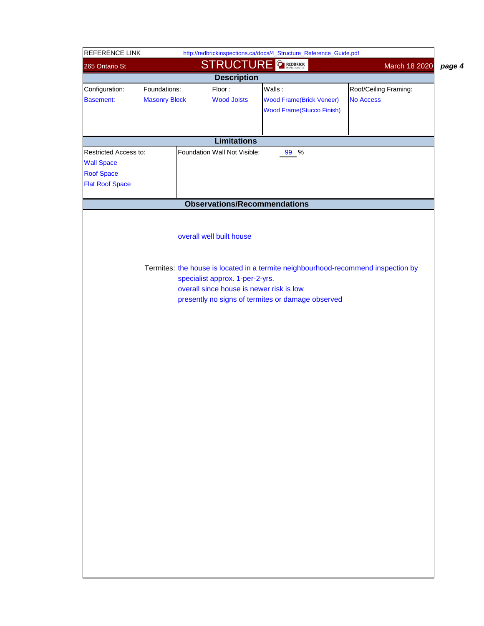| <b>STRUCTURE</b><br><b>REDBRICK</b><br>March 18 2020<br>265 Ontario St<br><b>Description</b><br>Floor:<br>Walls:<br>Configuration:<br>Foundations:<br>Roof/Ceiling Framing:<br><b>Wood Joists</b><br><b>No Access</b><br><b>Masonry Block</b><br><b>Basement:</b><br><b>Wood Frame(Brick Veneer)</b><br><b>Wood Frame(Stucco Finish)</b><br><b>Limitations</b><br>Restricted Access to:<br>Foundation Wall Not Visible:<br>99 %<br><b>Wall Space</b><br><b>Roof Space</b><br><b>Flat Roof Space</b><br><b>Observations/Recommendations</b> | page 4 |
|--------------------------------------------------------------------------------------------------------------------------------------------------------------------------------------------------------------------------------------------------------------------------------------------------------------------------------------------------------------------------------------------------------------------------------------------------------------------------------------------------------------------------------------------|--------|
|                                                                                                                                                                                                                                                                                                                                                                                                                                                                                                                                            |        |
|                                                                                                                                                                                                                                                                                                                                                                                                                                                                                                                                            |        |
|                                                                                                                                                                                                                                                                                                                                                                                                                                                                                                                                            |        |
|                                                                                                                                                                                                                                                                                                                                                                                                                                                                                                                                            |        |
|                                                                                                                                                                                                                                                                                                                                                                                                                                                                                                                                            |        |
|                                                                                                                                                                                                                                                                                                                                                                                                                                                                                                                                            |        |
|                                                                                                                                                                                                                                                                                                                                                                                                                                                                                                                                            |        |
|                                                                                                                                                                                                                                                                                                                                                                                                                                                                                                                                            |        |
|                                                                                                                                                                                                                                                                                                                                                                                                                                                                                                                                            |        |
|                                                                                                                                                                                                                                                                                                                                                                                                                                                                                                                                            |        |
|                                                                                                                                                                                                                                                                                                                                                                                                                                                                                                                                            |        |
|                                                                                                                                                                                                                                                                                                                                                                                                                                                                                                                                            |        |
|                                                                                                                                                                                                                                                                                                                                                                                                                                                                                                                                            |        |
|                                                                                                                                                                                                                                                                                                                                                                                                                                                                                                                                            |        |
|                                                                                                                                                                                                                                                                                                                                                                                                                                                                                                                                            |        |
| overall well built house                                                                                                                                                                                                                                                                                                                                                                                                                                                                                                                   |        |
|                                                                                                                                                                                                                                                                                                                                                                                                                                                                                                                                            |        |
|                                                                                                                                                                                                                                                                                                                                                                                                                                                                                                                                            |        |
| Termites: the house is located in a termite neighbourhood-recommend inspection by                                                                                                                                                                                                                                                                                                                                                                                                                                                          |        |
| specialist approx. 1-per-2-yrs.<br>overall since house is newer risk is low                                                                                                                                                                                                                                                                                                                                                                                                                                                                |        |
| presently no signs of termites or damage observed                                                                                                                                                                                                                                                                                                                                                                                                                                                                                          |        |
|                                                                                                                                                                                                                                                                                                                                                                                                                                                                                                                                            |        |
|                                                                                                                                                                                                                                                                                                                                                                                                                                                                                                                                            |        |
|                                                                                                                                                                                                                                                                                                                                                                                                                                                                                                                                            |        |
|                                                                                                                                                                                                                                                                                                                                                                                                                                                                                                                                            |        |
|                                                                                                                                                                                                                                                                                                                                                                                                                                                                                                                                            |        |
|                                                                                                                                                                                                                                                                                                                                                                                                                                                                                                                                            |        |
|                                                                                                                                                                                                                                                                                                                                                                                                                                                                                                                                            |        |
|                                                                                                                                                                                                                                                                                                                                                                                                                                                                                                                                            |        |
|                                                                                                                                                                                                                                                                                                                                                                                                                                                                                                                                            |        |
|                                                                                                                                                                                                                                                                                                                                                                                                                                                                                                                                            |        |
|                                                                                                                                                                                                                                                                                                                                                                                                                                                                                                                                            |        |
|                                                                                                                                                                                                                                                                                                                                                                                                                                                                                                                                            |        |
|                                                                                                                                                                                                                                                                                                                                                                                                                                                                                                                                            |        |
|                                                                                                                                                                                                                                                                                                                                                                                                                                                                                                                                            |        |
|                                                                                                                                                                                                                                                                                                                                                                                                                                                                                                                                            |        |
|                                                                                                                                                                                                                                                                                                                                                                                                                                                                                                                                            |        |
|                                                                                                                                                                                                                                                                                                                                                                                                                                                                                                                                            |        |
|                                                                                                                                                                                                                                                                                                                                                                                                                                                                                                                                            |        |
|                                                                                                                                                                                                                                                                                                                                                                                                                                                                                                                                            |        |
|                                                                                                                                                                                                                                                                                                                                                                                                                                                                                                                                            |        |
|                                                                                                                                                                                                                                                                                                                                                                                                                                                                                                                                            |        |
|                                                                                                                                                                                                                                                                                                                                                                                                                                                                                                                                            |        |
|                                                                                                                                                                                                                                                                                                                                                                                                                                                                                                                                            |        |
|                                                                                                                                                                                                                                                                                                                                                                                                                                                                                                                                            |        |
|                                                                                                                                                                                                                                                                                                                                                                                                                                                                                                                                            |        |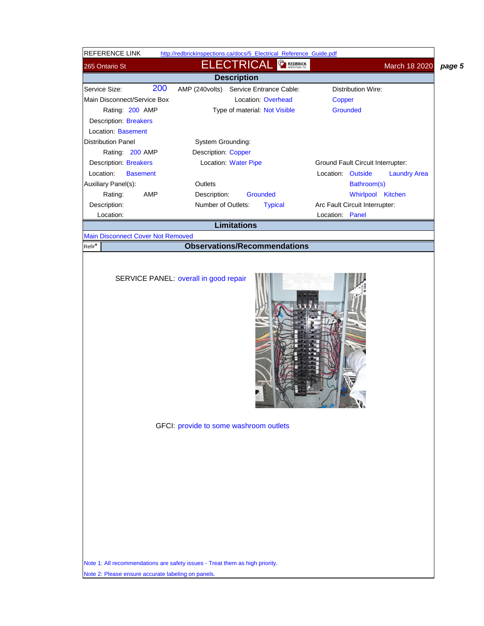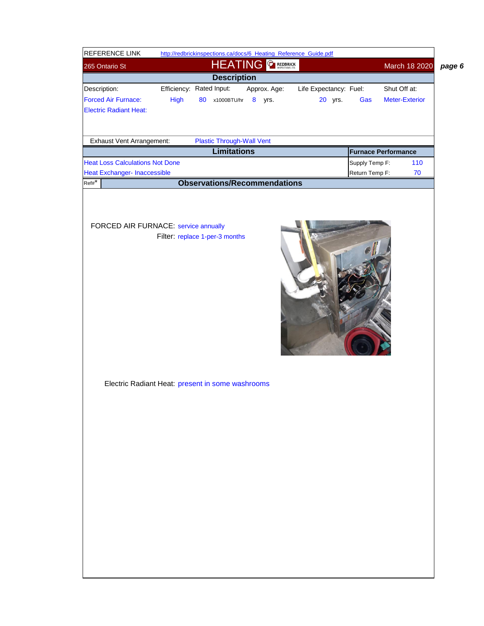| REFERENCE LINK                                 |      | http://redbrickinspections.ca/docs/6_Heating_Reference_Guide.pdf |                        |                            |                       |
|------------------------------------------------|------|------------------------------------------------------------------|------------------------|----------------------------|-----------------------|
| 265 Ontario St                                 |      | HEATING <b>GREDBRICK</b>                                         |                        |                            | March 18 2020         |
|                                                |      | <b>Description</b>                                               |                        |                            |                       |
| Description:                                   |      | Efficiency: Rated Input:<br>Approx. Age:                         | Life Expectancy: Fuel: |                            | Shut Off at:          |
| <b>Forced Air Furnace:</b>                     | High | 80 x1000BTU/hr 8 yrs.                                            | 20 yrs.                | Gas                        | <b>Meter-Exterior</b> |
| <b>Electric Radiant Heat:</b>                  |      |                                                                  |                        |                            |                       |
|                                                |      |                                                                  |                        |                            |                       |
|                                                |      |                                                                  |                        |                            |                       |
| Exhaust Vent Arrangement:                      |      | <b>Plastic Through-Wall Vent</b>                                 |                        |                            |                       |
|                                                |      | <b>Limitations</b>                                               |                        | <b>Furnace Performance</b> |                       |
| <b>Heat Loss Calculations Not Done</b>         |      |                                                                  |                        | Supply Temp F:             | 110                   |
| <b>Heat Exchanger- Inaccessible</b><br>$Ref#*$ |      | <b>Observations/Recommendations</b>                              |                        | Return Temp F:             | $70\,$                |
|                                                |      |                                                                  |                        |                            |                       |
|                                                |      |                                                                  |                        |                            |                       |
| <b>FORCED AIR FURNACE: service annually</b>    |      |                                                                  |                        |                            |                       |
|                                                |      | Filter: replace 1-per-3 months                                   |                        |                            |                       |
|                                                |      |                                                                  |                        |                            |                       |
|                                                |      |                                                                  |                        |                            |                       |
|                                                |      |                                                                  |                        |                            |                       |
|                                                |      |                                                                  |                        |                            |                       |
|                                                |      |                                                                  |                        |                            |                       |
|                                                |      |                                                                  |                        |                            |                       |
|                                                |      |                                                                  |                        |                            |                       |
|                                                |      |                                                                  |                        |                            |                       |
|                                                |      |                                                                  |                        |                            |                       |
|                                                |      |                                                                  |                        |                            |                       |
|                                                |      |                                                                  |                        |                            |                       |
|                                                |      |                                                                  |                        |                            |                       |
|                                                |      | Electric Radiant Heat: present in some washrooms                 |                        |                            |                       |
|                                                |      |                                                                  |                        |                            |                       |
|                                                |      |                                                                  |                        |                            |                       |
|                                                |      |                                                                  |                        |                            |                       |
|                                                |      |                                                                  |                        |                            |                       |
|                                                |      |                                                                  |                        |                            |                       |
|                                                |      |                                                                  |                        |                            |                       |
|                                                |      |                                                                  |                        |                            |                       |
|                                                |      |                                                                  |                        |                            |                       |
|                                                |      |                                                                  |                        |                            |                       |
|                                                |      |                                                                  |                        |                            |                       |
|                                                |      |                                                                  |                        |                            |                       |
|                                                |      |                                                                  |                        |                            |                       |
|                                                |      |                                                                  |                        |                            |                       |
|                                                |      |                                                                  |                        |                            |                       |
|                                                |      |                                                                  |                        |                            |                       |
|                                                |      |                                                                  |                        |                            |                       |
|                                                |      |                                                                  |                        |                            |                       |
|                                                |      |                                                                  |                        |                            |                       |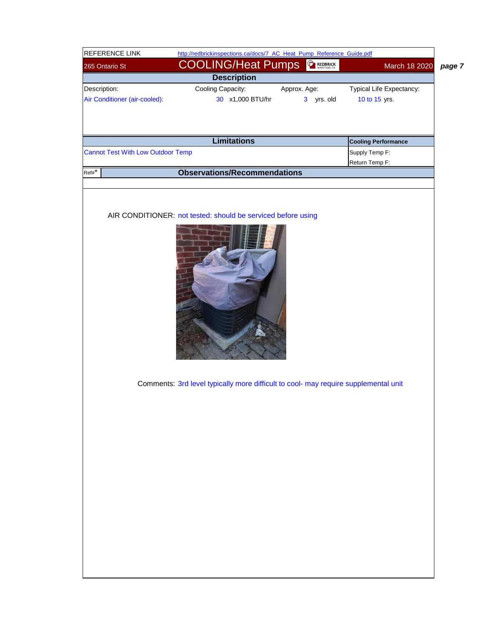| <b>REFERENCE LINK</b>         |                                          | http://redbrickinspections.ca/docs/7_AC_Heat_Pump_Reference_Guide.pdf               |                   |                            |                         |
|-------------------------------|------------------------------------------|-------------------------------------------------------------------------------------|-------------------|----------------------------|-------------------------|
| 265 Ontario St                |                                          | <b>COOLING/Heat Pumps</b>                                                           | <b>C</b> REDBRICK |                            | March 18 2020<br>page 7 |
|                               |                                          | <b>Description</b>                                                                  |                   |                            |                         |
| Description:                  |                                          | Cooling Capacity:                                                                   | Approx. Age:      | Typical Life Expectancy:   |                         |
| Air Conditioner (air-cooled): |                                          | 30 x1,000 BTU/hr                                                                    | 3 yrs. old        | 10 to 15 yrs.              |                         |
|                               |                                          |                                                                                     |                   |                            |                         |
|                               |                                          |                                                                                     |                   |                            |                         |
|                               |                                          | <b>Limitations</b>                                                                  |                   | <b>Cooling Performance</b> |                         |
|                               | <b>Cannot Test With Low Outdoor Temp</b> |                                                                                     |                   | Supply Temp F:             |                         |
|                               |                                          |                                                                                     |                   | Return Temp F:             |                         |
| $Ref#*$                       |                                          | <b>Observations/Recommendations</b>                                                 |                   |                            |                         |
|                               |                                          |                                                                                     |                   |                            |                         |
|                               |                                          |                                                                                     |                   |                            |                         |
|                               |                                          | AIR CONDITIONER: not tested: should be serviced before using                        |                   |                            |                         |
|                               |                                          |                                                                                     |                   |                            |                         |
|                               |                                          |                                                                                     |                   |                            |                         |
|                               |                                          |                                                                                     |                   |                            |                         |
|                               |                                          |                                                                                     |                   |                            |                         |
|                               |                                          |                                                                                     |                   |                            |                         |
|                               |                                          |                                                                                     |                   |                            |                         |
|                               |                                          |                                                                                     |                   |                            |                         |
|                               |                                          |                                                                                     |                   |                            |                         |
|                               |                                          |                                                                                     |                   |                            |                         |
|                               |                                          |                                                                                     |                   |                            |                         |
|                               |                                          |                                                                                     |                   |                            |                         |
|                               |                                          |                                                                                     |                   |                            |                         |
|                               |                                          |                                                                                     |                   |                            |                         |
|                               |                                          |                                                                                     |                   |                            |                         |
|                               |                                          |                                                                                     |                   |                            |                         |
|                               |                                          | Comments: 3rd level typically more difficult to cool- may require supplemental unit |                   |                            |                         |
|                               |                                          |                                                                                     |                   |                            |                         |
|                               |                                          |                                                                                     |                   |                            |                         |
|                               |                                          |                                                                                     |                   |                            |                         |
|                               |                                          |                                                                                     |                   |                            |                         |
|                               |                                          |                                                                                     |                   |                            |                         |
|                               |                                          |                                                                                     |                   |                            |                         |
|                               |                                          |                                                                                     |                   |                            |                         |
|                               |                                          |                                                                                     |                   |                            |                         |
|                               |                                          |                                                                                     |                   |                            |                         |
|                               |                                          |                                                                                     |                   |                            |                         |
|                               |                                          |                                                                                     |                   |                            |                         |
|                               |                                          |                                                                                     |                   |                            |                         |
|                               |                                          |                                                                                     |                   |                            |                         |
|                               |                                          |                                                                                     |                   |                            |                         |
|                               |                                          |                                                                                     |                   |                            |                         |
|                               |                                          |                                                                                     |                   |                            |                         |
|                               |                                          |                                                                                     |                   |                            |                         |
|                               |                                          |                                                                                     |                   |                            |                         |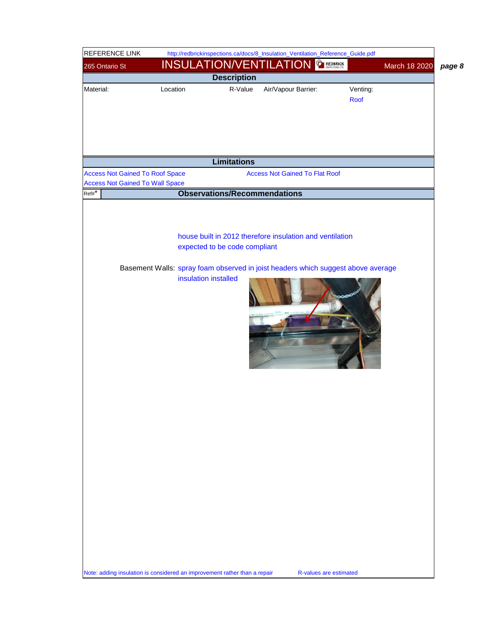| REFERENCE LINK                                                            |          | http://redbrickinspections.ca/docs/8_Insulation_Ventilation_Reference_Guide.pdf                                                                                                                       |                         |                         |
|---------------------------------------------------------------------------|----------|-------------------------------------------------------------------------------------------------------------------------------------------------------------------------------------------------------|-------------------------|-------------------------|
| 265 Ontario St                                                            |          | <b>INSULATION/VENTILATION &amp; REDBRICK</b>                                                                                                                                                          |                         | March 18 2020<br>page 8 |
|                                                                           |          | <b>Description</b>                                                                                                                                                                                    |                         |                         |
| Material:                                                                 | Location | R-Value<br>Air/Vapour Barrier:                                                                                                                                                                        | Venting:<br><b>Roof</b> |                         |
|                                                                           |          | <b>Limitations</b>                                                                                                                                                                                    |                         |                         |
| <b>Access Not Gained To Roof Space</b>                                    |          | <b>Access Not Gained To Flat Roof</b>                                                                                                                                                                 |                         |                         |
| <b>Access Not Gained To Wall Space</b>                                    |          |                                                                                                                                                                                                       |                         |                         |
| $Ref#*$                                                                   |          | <b>Observations/Recommendations</b>                                                                                                                                                                   |                         |                         |
|                                                                           |          | house built in 2012 therefore insulation and ventilation<br>expected to be code compliant<br>Basement Walls: spray foam observed in joist headers which suggest above average<br>insulation installed |                         |                         |
| Note: adding insulation is considered an improvement rather than a repair |          |                                                                                                                                                                                                       | R-values are estimated  |                         |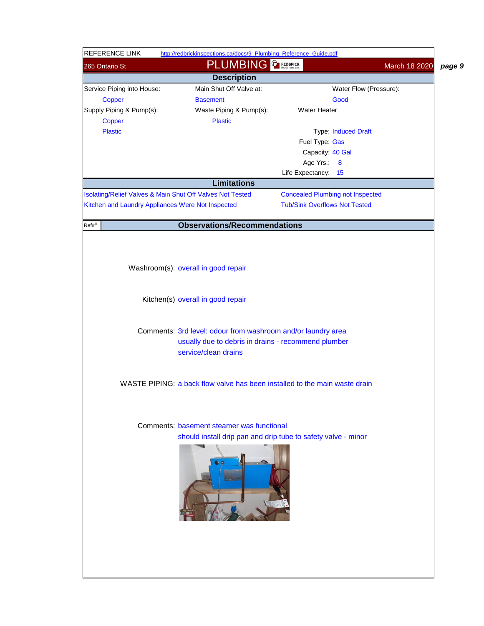| <b>REFERENCE LINK</b>                                     | http://redbrickinspections.ca/docs/9_Plumbing_Reference_Guide.pdf          |                                         |               |        |
|-----------------------------------------------------------|----------------------------------------------------------------------------|-----------------------------------------|---------------|--------|
| 265 Ontario St                                            | <b>PLUMBING</b>                                                            | <b>CAREDBRICK</b>                       | March 18 2020 | page 9 |
|                                                           | <b>Description</b>                                                         |                                         |               |        |
| Service Piping into House:                                | Main Shut Off Valve at:                                                    | Water Flow (Pressure):                  |               |        |
| Copper                                                    | <b>Basement</b>                                                            | Good                                    |               |        |
| Supply Piping & Pump(s):                                  | Waste Piping & Pump(s):                                                    | <b>Water Heater</b>                     |               |        |
| Copper                                                    | <b>Plastic</b>                                                             |                                         |               |        |
| <b>Plastic</b>                                            |                                                                            | <b>Type: Induced Draft</b>              |               |        |
|                                                           |                                                                            | Fuel Type: Gas                          |               |        |
|                                                           |                                                                            | Capacity: 40 Gal                        |               |        |
|                                                           |                                                                            | Age Yrs.: 8                             |               |        |
|                                                           |                                                                            | Life Expectancy: 15                     |               |        |
|                                                           | <b>Limitations</b>                                                         |                                         |               |        |
| Isolating/Relief Valves & Main Shut Off Valves Not Tested |                                                                            | <b>Concealed Plumbing not Inspected</b> |               |        |
| Kitchen and Laundry Appliances Were Not Inspected         |                                                                            | <b>Tub/Sink Overflows Not Tested</b>    |               |        |
| $Ref#*$                                                   | <b>Observations/Recommendations</b>                                        |                                         |               |        |
|                                                           |                                                                            |                                         |               |        |
|                                                           |                                                                            |                                         |               |        |
|                                                           |                                                                            |                                         |               |        |
|                                                           | Washroom(s): overall in good repair                                        |                                         |               |        |
|                                                           |                                                                            |                                         |               |        |
|                                                           |                                                                            |                                         |               |        |
|                                                           | Kitchen(s) overall in good repair                                          |                                         |               |        |
|                                                           |                                                                            |                                         |               |        |
|                                                           |                                                                            |                                         |               |        |
|                                                           | Comments: 3rd level: odour from washroom and/or laundry area               |                                         |               |        |
|                                                           | usually due to debris in drains - recommend plumber                        |                                         |               |        |
|                                                           | service/clean drains                                                       |                                         |               |        |
|                                                           |                                                                            |                                         |               |        |
|                                                           | WASTE PIPING: a back flow valve has been installed to the main waste drain |                                         |               |        |
|                                                           |                                                                            |                                         |               |        |
|                                                           |                                                                            |                                         |               |        |
|                                                           |                                                                            |                                         |               |        |
|                                                           | Comments: basement steamer was functional                                  |                                         |               |        |
|                                                           | should install drip pan and drip tube to safety valve - minor              |                                         |               |        |
|                                                           |                                                                            |                                         |               |        |
|                                                           |                                                                            |                                         |               |        |
|                                                           |                                                                            |                                         |               |        |
|                                                           |                                                                            |                                         |               |        |
|                                                           |                                                                            |                                         |               |        |
|                                                           |                                                                            |                                         |               |        |
|                                                           |                                                                            |                                         |               |        |
|                                                           |                                                                            |                                         |               |        |
|                                                           |                                                                            |                                         |               |        |
|                                                           |                                                                            |                                         |               |        |
|                                                           |                                                                            |                                         |               |        |
|                                                           |                                                                            |                                         |               |        |
|                                                           |                                                                            |                                         |               |        |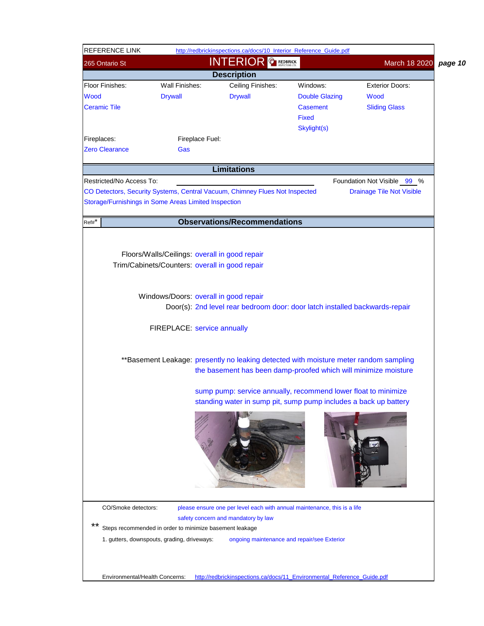| <b>INTERIOR GREDBRICK</b><br>March 18 2020<br>page 10<br>265 Ontario St<br><b>Description</b><br>Ceiling Finishes:<br><b>Wall Finishes:</b><br>Windows:<br><b>Exterior Doors:</b><br><b>Drywall</b><br><b>Drywall</b><br><b>Double Glazing</b><br>Wood<br><b>Casement</b><br><b>Sliding Glass</b><br>Fixed<br>Skylight(s)<br>Fireplaces:<br>Fireplace Fuel:<br><b>Zero Clearance</b><br>Gas<br><b>Limitations</b><br>Restricted/No Access To:<br>Foundation Not Visible 99 %<br>CO Detectors, Security Systems, Central Vacuum, Chimney Flues Not Inspected<br><b>Drainage Tile Not Visible</b><br>Storage/Furnishings in Some Areas Limited Inspection<br><b>Observations/Recommendations</b><br>$Ref\#$ *<br>Floors/Walls/Ceilings: overall in good repair<br>Trim/Cabinets/Counters: overall in good repair<br>Windows/Doors: overall in good repair<br>Door(s): 2nd level rear bedroom door: door latch installed backwards-repair<br>FIREPLACE: service annually<br>**Basement Leakage: presently no leaking detected with moisture meter random sampling<br>the basement has been damp-proofed which will minimize moisture<br>sump pump: service annually, recommend lower float to minimize<br>standing water in sump pit, sump pump includes a back up battery<br>CO/Smoke detectors:<br>please ensure one per level each with annual maintenance, this is a life<br>safety concern and mandatory by law<br>**<br>Steps recommended in order to minimize basement leakage<br>1. gutters, downspouts, grading, driveways:<br>ongoing maintenance and repair/see Exterior<br>Environmental/Health Concerns:<br>http://redbrickinspections.ca/docs/11_Environmental_Reference_Guide.pdf | <b>REFERENCE LINK</b> |  | http://redbrickinspections.ca/docs/10 Interior Reference Guide.pdf |  |  |  |
|-----------------------------------------------------------------------------------------------------------------------------------------------------------------------------------------------------------------------------------------------------------------------------------------------------------------------------------------------------------------------------------------------------------------------------------------------------------------------------------------------------------------------------------------------------------------------------------------------------------------------------------------------------------------------------------------------------------------------------------------------------------------------------------------------------------------------------------------------------------------------------------------------------------------------------------------------------------------------------------------------------------------------------------------------------------------------------------------------------------------------------------------------------------------------------------------------------------------------------------------------------------------------------------------------------------------------------------------------------------------------------------------------------------------------------------------------------------------------------------------------------------------------------------------------------------------------------------------------------------------------------------------------------------------------------------------------|-----------------------|--|--------------------------------------------------------------------|--|--|--|
|                                                                                                                                                                                                                                                                                                                                                                                                                                                                                                                                                                                                                                                                                                                                                                                                                                                                                                                                                                                                                                                                                                                                                                                                                                                                                                                                                                                                                                                                                                                                                                                                                                                                                               |                       |  |                                                                    |  |  |  |
|                                                                                                                                                                                                                                                                                                                                                                                                                                                                                                                                                                                                                                                                                                                                                                                                                                                                                                                                                                                                                                                                                                                                                                                                                                                                                                                                                                                                                                                                                                                                                                                                                                                                                               |                       |  |                                                                    |  |  |  |
|                                                                                                                                                                                                                                                                                                                                                                                                                                                                                                                                                                                                                                                                                                                                                                                                                                                                                                                                                                                                                                                                                                                                                                                                                                                                                                                                                                                                                                                                                                                                                                                                                                                                                               | Floor Finishes:       |  |                                                                    |  |  |  |
|                                                                                                                                                                                                                                                                                                                                                                                                                                                                                                                                                                                                                                                                                                                                                                                                                                                                                                                                                                                                                                                                                                                                                                                                                                                                                                                                                                                                                                                                                                                                                                                                                                                                                               | <b>Wood</b>           |  |                                                                    |  |  |  |
|                                                                                                                                                                                                                                                                                                                                                                                                                                                                                                                                                                                                                                                                                                                                                                                                                                                                                                                                                                                                                                                                                                                                                                                                                                                                                                                                                                                                                                                                                                                                                                                                                                                                                               | <b>Ceramic Tile</b>   |  |                                                                    |  |  |  |
|                                                                                                                                                                                                                                                                                                                                                                                                                                                                                                                                                                                                                                                                                                                                                                                                                                                                                                                                                                                                                                                                                                                                                                                                                                                                                                                                                                                                                                                                                                                                                                                                                                                                                               |                       |  |                                                                    |  |  |  |
|                                                                                                                                                                                                                                                                                                                                                                                                                                                                                                                                                                                                                                                                                                                                                                                                                                                                                                                                                                                                                                                                                                                                                                                                                                                                                                                                                                                                                                                                                                                                                                                                                                                                                               |                       |  |                                                                    |  |  |  |
|                                                                                                                                                                                                                                                                                                                                                                                                                                                                                                                                                                                                                                                                                                                                                                                                                                                                                                                                                                                                                                                                                                                                                                                                                                                                                                                                                                                                                                                                                                                                                                                                                                                                                               |                       |  |                                                                    |  |  |  |
|                                                                                                                                                                                                                                                                                                                                                                                                                                                                                                                                                                                                                                                                                                                                                                                                                                                                                                                                                                                                                                                                                                                                                                                                                                                                                                                                                                                                                                                                                                                                                                                                                                                                                               |                       |  |                                                                    |  |  |  |
|                                                                                                                                                                                                                                                                                                                                                                                                                                                                                                                                                                                                                                                                                                                                                                                                                                                                                                                                                                                                                                                                                                                                                                                                                                                                                                                                                                                                                                                                                                                                                                                                                                                                                               |                       |  |                                                                    |  |  |  |
|                                                                                                                                                                                                                                                                                                                                                                                                                                                                                                                                                                                                                                                                                                                                                                                                                                                                                                                                                                                                                                                                                                                                                                                                                                                                                                                                                                                                                                                                                                                                                                                                                                                                                               |                       |  |                                                                    |  |  |  |
|                                                                                                                                                                                                                                                                                                                                                                                                                                                                                                                                                                                                                                                                                                                                                                                                                                                                                                                                                                                                                                                                                                                                                                                                                                                                                                                                                                                                                                                                                                                                                                                                                                                                                               |                       |  |                                                                    |  |  |  |
|                                                                                                                                                                                                                                                                                                                                                                                                                                                                                                                                                                                                                                                                                                                                                                                                                                                                                                                                                                                                                                                                                                                                                                                                                                                                                                                                                                                                                                                                                                                                                                                                                                                                                               |                       |  |                                                                    |  |  |  |
|                                                                                                                                                                                                                                                                                                                                                                                                                                                                                                                                                                                                                                                                                                                                                                                                                                                                                                                                                                                                                                                                                                                                                                                                                                                                                                                                                                                                                                                                                                                                                                                                                                                                                               |                       |  |                                                                    |  |  |  |
|                                                                                                                                                                                                                                                                                                                                                                                                                                                                                                                                                                                                                                                                                                                                                                                                                                                                                                                                                                                                                                                                                                                                                                                                                                                                                                                                                                                                                                                                                                                                                                                                                                                                                               |                       |  |                                                                    |  |  |  |
|                                                                                                                                                                                                                                                                                                                                                                                                                                                                                                                                                                                                                                                                                                                                                                                                                                                                                                                                                                                                                                                                                                                                                                                                                                                                                                                                                                                                                                                                                                                                                                                                                                                                                               |                       |  |                                                                    |  |  |  |
|                                                                                                                                                                                                                                                                                                                                                                                                                                                                                                                                                                                                                                                                                                                                                                                                                                                                                                                                                                                                                                                                                                                                                                                                                                                                                                                                                                                                                                                                                                                                                                                                                                                                                               |                       |  |                                                                    |  |  |  |
|                                                                                                                                                                                                                                                                                                                                                                                                                                                                                                                                                                                                                                                                                                                                                                                                                                                                                                                                                                                                                                                                                                                                                                                                                                                                                                                                                                                                                                                                                                                                                                                                                                                                                               |                       |  |                                                                    |  |  |  |
|                                                                                                                                                                                                                                                                                                                                                                                                                                                                                                                                                                                                                                                                                                                                                                                                                                                                                                                                                                                                                                                                                                                                                                                                                                                                                                                                                                                                                                                                                                                                                                                                                                                                                               |                       |  |                                                                    |  |  |  |
|                                                                                                                                                                                                                                                                                                                                                                                                                                                                                                                                                                                                                                                                                                                                                                                                                                                                                                                                                                                                                                                                                                                                                                                                                                                                                                                                                                                                                                                                                                                                                                                                                                                                                               |                       |  |                                                                    |  |  |  |
|                                                                                                                                                                                                                                                                                                                                                                                                                                                                                                                                                                                                                                                                                                                                                                                                                                                                                                                                                                                                                                                                                                                                                                                                                                                                                                                                                                                                                                                                                                                                                                                                                                                                                               |                       |  |                                                                    |  |  |  |
|                                                                                                                                                                                                                                                                                                                                                                                                                                                                                                                                                                                                                                                                                                                                                                                                                                                                                                                                                                                                                                                                                                                                                                                                                                                                                                                                                                                                                                                                                                                                                                                                                                                                                               |                       |  |                                                                    |  |  |  |
|                                                                                                                                                                                                                                                                                                                                                                                                                                                                                                                                                                                                                                                                                                                                                                                                                                                                                                                                                                                                                                                                                                                                                                                                                                                                                                                                                                                                                                                                                                                                                                                                                                                                                               |                       |  |                                                                    |  |  |  |
|                                                                                                                                                                                                                                                                                                                                                                                                                                                                                                                                                                                                                                                                                                                                                                                                                                                                                                                                                                                                                                                                                                                                                                                                                                                                                                                                                                                                                                                                                                                                                                                                                                                                                               |                       |  |                                                                    |  |  |  |
|                                                                                                                                                                                                                                                                                                                                                                                                                                                                                                                                                                                                                                                                                                                                                                                                                                                                                                                                                                                                                                                                                                                                                                                                                                                                                                                                                                                                                                                                                                                                                                                                                                                                                               |                       |  |                                                                    |  |  |  |
|                                                                                                                                                                                                                                                                                                                                                                                                                                                                                                                                                                                                                                                                                                                                                                                                                                                                                                                                                                                                                                                                                                                                                                                                                                                                                                                                                                                                                                                                                                                                                                                                                                                                                               |                       |  |                                                                    |  |  |  |
|                                                                                                                                                                                                                                                                                                                                                                                                                                                                                                                                                                                                                                                                                                                                                                                                                                                                                                                                                                                                                                                                                                                                                                                                                                                                                                                                                                                                                                                                                                                                                                                                                                                                                               |                       |  |                                                                    |  |  |  |
|                                                                                                                                                                                                                                                                                                                                                                                                                                                                                                                                                                                                                                                                                                                                                                                                                                                                                                                                                                                                                                                                                                                                                                                                                                                                                                                                                                                                                                                                                                                                                                                                                                                                                               |                       |  |                                                                    |  |  |  |
|                                                                                                                                                                                                                                                                                                                                                                                                                                                                                                                                                                                                                                                                                                                                                                                                                                                                                                                                                                                                                                                                                                                                                                                                                                                                                                                                                                                                                                                                                                                                                                                                                                                                                               |                       |  |                                                                    |  |  |  |
|                                                                                                                                                                                                                                                                                                                                                                                                                                                                                                                                                                                                                                                                                                                                                                                                                                                                                                                                                                                                                                                                                                                                                                                                                                                                                                                                                                                                                                                                                                                                                                                                                                                                                               |                       |  |                                                                    |  |  |  |
|                                                                                                                                                                                                                                                                                                                                                                                                                                                                                                                                                                                                                                                                                                                                                                                                                                                                                                                                                                                                                                                                                                                                                                                                                                                                                                                                                                                                                                                                                                                                                                                                                                                                                               |                       |  |                                                                    |  |  |  |
|                                                                                                                                                                                                                                                                                                                                                                                                                                                                                                                                                                                                                                                                                                                                                                                                                                                                                                                                                                                                                                                                                                                                                                                                                                                                                                                                                                                                                                                                                                                                                                                                                                                                                               |                       |  |                                                                    |  |  |  |
|                                                                                                                                                                                                                                                                                                                                                                                                                                                                                                                                                                                                                                                                                                                                                                                                                                                                                                                                                                                                                                                                                                                                                                                                                                                                                                                                                                                                                                                                                                                                                                                                                                                                                               |                       |  |                                                                    |  |  |  |
|                                                                                                                                                                                                                                                                                                                                                                                                                                                                                                                                                                                                                                                                                                                                                                                                                                                                                                                                                                                                                                                                                                                                                                                                                                                                                                                                                                                                                                                                                                                                                                                                                                                                                               |                       |  |                                                                    |  |  |  |
|                                                                                                                                                                                                                                                                                                                                                                                                                                                                                                                                                                                                                                                                                                                                                                                                                                                                                                                                                                                                                                                                                                                                                                                                                                                                                                                                                                                                                                                                                                                                                                                                                                                                                               |                       |  |                                                                    |  |  |  |
|                                                                                                                                                                                                                                                                                                                                                                                                                                                                                                                                                                                                                                                                                                                                                                                                                                                                                                                                                                                                                                                                                                                                                                                                                                                                                                                                                                                                                                                                                                                                                                                                                                                                                               |                       |  |                                                                    |  |  |  |
|                                                                                                                                                                                                                                                                                                                                                                                                                                                                                                                                                                                                                                                                                                                                                                                                                                                                                                                                                                                                                                                                                                                                                                                                                                                                                                                                                                                                                                                                                                                                                                                                                                                                                               |                       |  |                                                                    |  |  |  |
|                                                                                                                                                                                                                                                                                                                                                                                                                                                                                                                                                                                                                                                                                                                                                                                                                                                                                                                                                                                                                                                                                                                                                                                                                                                                                                                                                                                                                                                                                                                                                                                                                                                                                               |                       |  |                                                                    |  |  |  |
|                                                                                                                                                                                                                                                                                                                                                                                                                                                                                                                                                                                                                                                                                                                                                                                                                                                                                                                                                                                                                                                                                                                                                                                                                                                                                                                                                                                                                                                                                                                                                                                                                                                                                               |                       |  |                                                                    |  |  |  |
|                                                                                                                                                                                                                                                                                                                                                                                                                                                                                                                                                                                                                                                                                                                                                                                                                                                                                                                                                                                                                                                                                                                                                                                                                                                                                                                                                                                                                                                                                                                                                                                                                                                                                               |                       |  |                                                                    |  |  |  |
|                                                                                                                                                                                                                                                                                                                                                                                                                                                                                                                                                                                                                                                                                                                                                                                                                                                                                                                                                                                                                                                                                                                                                                                                                                                                                                                                                                                                                                                                                                                                                                                                                                                                                               |                       |  |                                                                    |  |  |  |
|                                                                                                                                                                                                                                                                                                                                                                                                                                                                                                                                                                                                                                                                                                                                                                                                                                                                                                                                                                                                                                                                                                                                                                                                                                                                                                                                                                                                                                                                                                                                                                                                                                                                                               |                       |  |                                                                    |  |  |  |
|                                                                                                                                                                                                                                                                                                                                                                                                                                                                                                                                                                                                                                                                                                                                                                                                                                                                                                                                                                                                                                                                                                                                                                                                                                                                                                                                                                                                                                                                                                                                                                                                                                                                                               |                       |  |                                                                    |  |  |  |
|                                                                                                                                                                                                                                                                                                                                                                                                                                                                                                                                                                                                                                                                                                                                                                                                                                                                                                                                                                                                                                                                                                                                                                                                                                                                                                                                                                                                                                                                                                                                                                                                                                                                                               |                       |  |                                                                    |  |  |  |